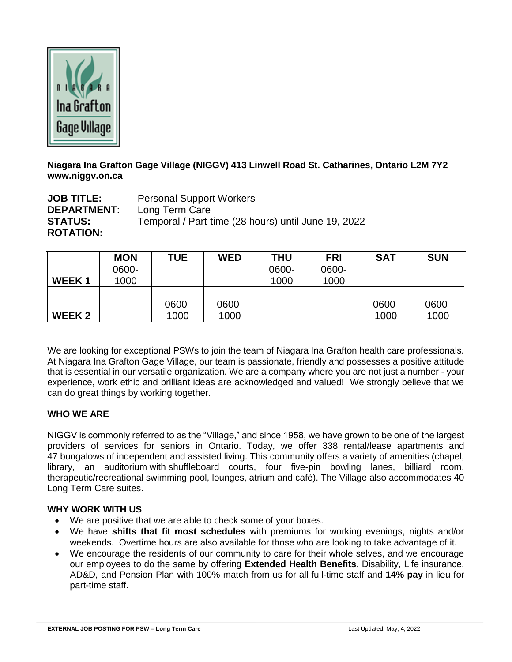

**Niagara Ina Grafton Gage Village (NIGGV) 413 Linwell Road St. Catharines, Ontario L2M 7Y2 www.niggv.on.ca**

**JOB TITLE:** Personal Support Workers **DEPARTMENT**: Long Term Care **STATUS:** Temporal / Part-time (28 hours) until June 19, 2022 **ROTATION:**

| WEEK <sub>1</sub> | <b>MON</b><br>0600-<br>1000 | <b>TUE</b> | <b>WED</b> | <b>THU</b><br>0600-<br>1000 | <b>FRI</b><br>0600-<br>1000 | <b>SAT</b> | <b>SUN</b> |
|-------------------|-----------------------------|------------|------------|-----------------------------|-----------------------------|------------|------------|
| <b>WEEK2</b>      |                             | 0600-      | 0600-      |                             |                             | 0600-      | 0600-      |
|                   |                             | 1000       | 1000       |                             |                             | 1000       | 1000       |

We are looking for exceptional PSWs to join the team of Niagara Ina Grafton health care professionals. At Niagara Ina Grafton Gage Village, our team is passionate, friendly and possesses a positive attitude that is essential in our versatile organization. We are a company where you are not just a number - your experience, work ethic and brilliant ideas are acknowledged and valued! We strongly believe that we can do great things by working together.

# **WHO WE ARE**

NIGGV is commonly referred to as the "Village," and since 1958, we have grown to be one of the largest providers of services for seniors in Ontario. Today, we offer 338 rental/lease apartments and 47 bungalows of independent and assisted living. This community offers a variety of amenities (chapel, library, an auditorium with shuffleboard courts, four five-pin bowling lanes, billiard room, therapeutic/recreational swimming pool, lounges, atrium and café). The Village also accommodates 40 Long Term Care suites.

### **WHY WORK WITH US**

- We are positive that we are able to check some of your boxes.
- We have **shifts that fit most schedules** with premiums for working evenings, nights and/or weekends. Overtime hours are also available for those who are looking to take advantage of it.
- We encourage the residents of our community to care for their whole selves, and we encourage our employees to do the same by offering **Extended Health Benefits**, Disability, Life insurance, AD&D, and Pension Plan with 100% match from us for all full-time staff and **14% pay** in lieu for part-time staff.